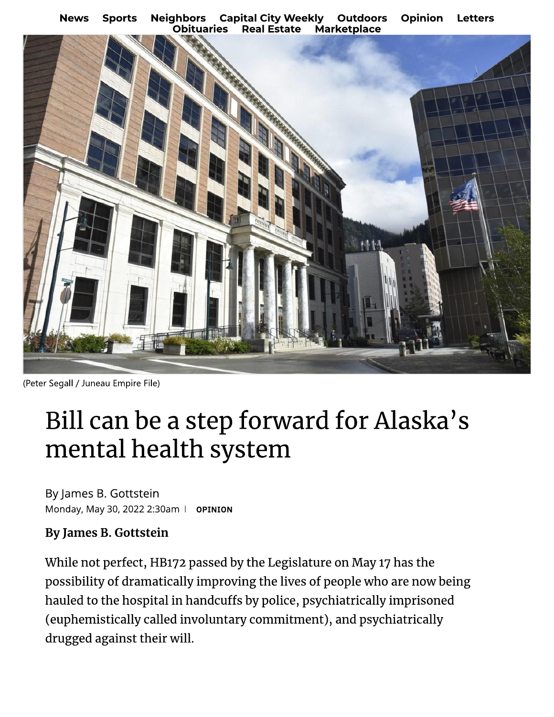**Capital City Weekly Outdoors Opinion News Sports Neighbors Letters Obituaries Real Estate Marketplace** 



(Peter Segall / Juneau Empire File)

# Bill can be a step forward for Alaska's mental health system

By James B. Gottstein Monday, May 30, 2022 2:30am | OPINION

#### **By James B. Gottstein**

While not perfect, HB172 passed by the Legislature on May 17 has the possibility of dramatically improving the lives of people who are now being hauled to the hospital in handcuffs by police, psychiatrically imprisoned (euphemistically called involuntary commitment), and psychiatrically drugged against their will.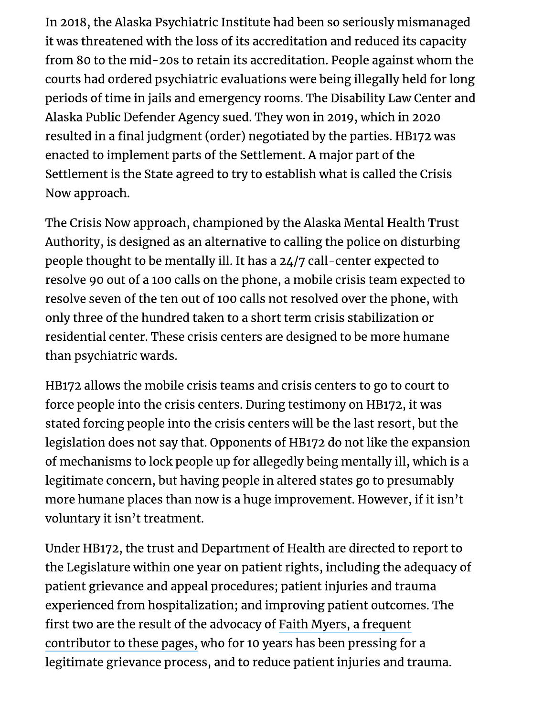In 2018, the Alaska Psychiatric Institute had been so seriously mismanaged it was threatened with the loss of its accreditation and reduced its capacity from 80 to the mid-20s to retain its accreditation. People against whom the courts had ordered psychiatric evaluations were being illegally held for long periods of time in jails and emergency rooms. The Disability Law Center and Alaska Public Defender Agency sued. They won in 2019, which in 2020 resulted in a final judgment (order) negotiated by the parties. HB172 was enacted to implement parts of the Settlement. A major part of the Settlement is the State agreed to try to establish what is called the Crisis Now approach.

The Crisis Now approach, championed by the Alaska Mental Health Trust Authority, is designed as an alternative to calling the police on disturbing people thought to be mentally ill. It has a 24/7 call-center expected to resolve 90 out of a 100 calls on the phone, a mobile crisis team expected to resolve seven of the ten out of 100 calls not resolved over the phone, with only three of the hundred taken to a short term crisis stabilization or residential center. These crisis centers are designed to be more humane than psychiatric wards.

HB172 allows the mobile crisis teams and crisis centers to go to court to force people into the crisis centers. During testimony on HB172, it was stated forcing people into the crisis centers will be the last resort, but the legislation does not say that. Opponents of HB172 do not like the expansion of mechanisms to lock people up for allegedly being mentally ill, which is a legitimate concern, but having people in altered states go to presumably more humane places than now is a huge improvement. However, if it isn't voluntary it isn't treatment.

Under HB172, the trust and Department of Health are directed to report to the Legislature within one year on patient rights, including the adequacy of patient grievance and appeal procedures; patient injuries and trauma experienced from hospitalization; and improving patient outcomes. The first two are the result of the advocacy of Faith Myers, a frequent contributor to these pages, who for 10 years has been pressing for a legitimate grievance process, and to reduce patient injuries and trauma.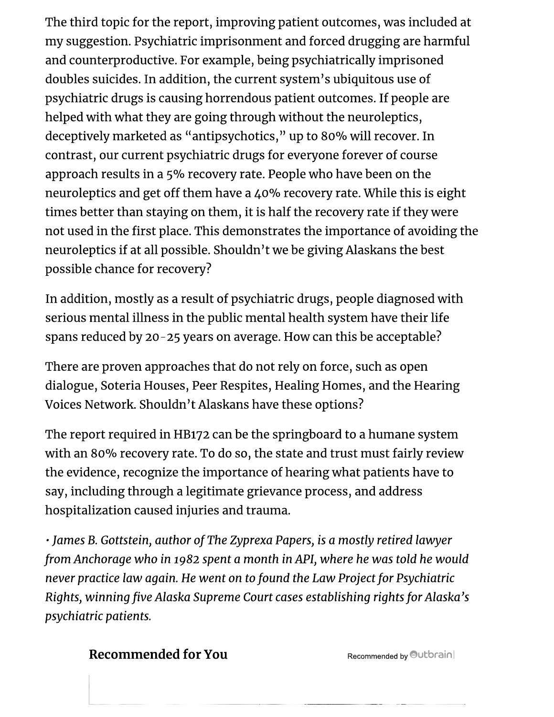The third topic for the report, improving patient outcomes, was included at my suggestion. Psychiatric imprisonment and forced drugging are harmful and counterproductive. For example, being psychiatrically imprisoned doubles suicides. In addition, the current system's ubiquitous use of psychiatric drugs is causing horrendous patient outcomes. If people are helped with what they are going through without the neuroleptics, deceptively marketed as "antipsychotics," up to 80% will recover. In contrast, our current psychiatric drugs for everyone forever of course approach results in a 5% recovery rate. People who have been on the neuroleptics and get off them have a 40% recovery rate. While this is eight times better than staying on them, it is half the recovery rate if they were not used in the first place. This demonstrates the importance of avoiding the neuroleptics if at all possible. Shouldn't we be giving Alaskans the best possible chance for recovery?

In addition, mostly as a result of psychiatric drugs, people diagnosed with serious mental illness in the public mental health system have their life spans reduced by 20-25 years on average. How can this be acceptable?

There are proven approaches that do not rely on force, such as open dialogue, Soteria Houses, Peer Respites, Healing Homes, and the Hearing Voices Network. Shouldn't Alaskans have these options?

The report required in HB172 can be the springboard to a humane system with an 80% recovery rate. To do so, the state and trust must fairly review the evidence, recognize the importance of hearing what patients have to say, including through a legitimate grievance process, and address hospitalization caused injuries and trauma.

· James B. Gottstein, author of The Zyprexa Papers, is a mostly retired lawyer from Anchorage who in 1982 spent a month in API, where he was told he would never practice law again. He went on to found the Law Project for Psychiatric Rights, winning five Alaska Supreme Court cases establishing rights for Alaska's psychiatric patients.

### **Recommended for You**

Recommended by Outbrain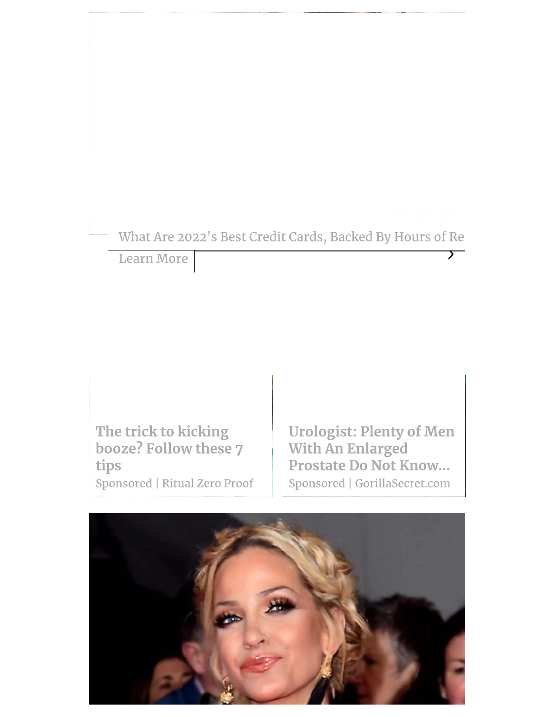# What Are 2022's Best Credit Cards, Backed By Hours of Re:

Learn More

The trick to kicking booze? Follow these 7 tips Sponsored | Ritual Zero Proof **Urologist: Plenty of Men** With An Enlarged Prostate Do Not Know... Sponsored | GorillaSecret.com

 $\overline{\phantom{0}}$